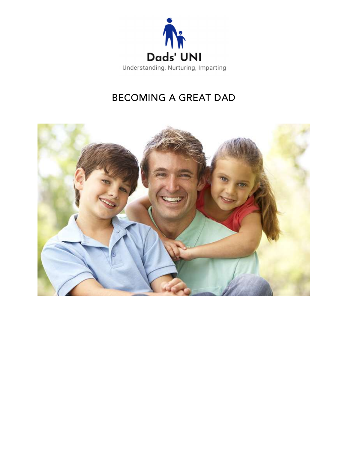

# **BECOMING A GREAT DAD**

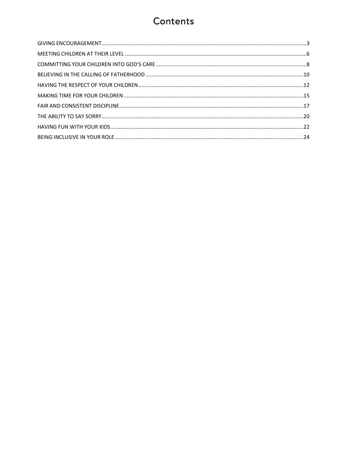# Contents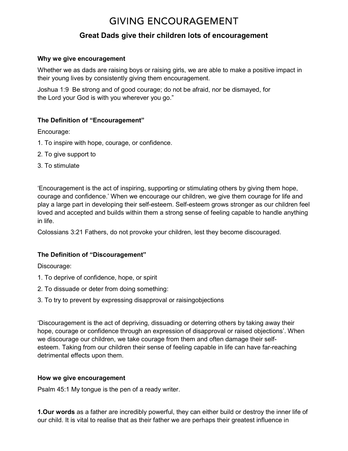# **GIVING ENCOURAGEMENT**

## Great Dads give their children lots of encouragement

#### Why we give encouragement

Whether we as dads are raising boys or raising girls, we are able to make a positive impact in their young lives by consistently giving them encouragement.

Joshua 1:9 Be strong and of good courage; do not be afraid, nor be dismayed, for the Lord your God is with you wherever you go."

#### The Definition of "Encouragement"

Encourage:

- 1. To inspire with hope, courage, or confidence.
- 2. To give support to
- 3. To stimulate

'Encouragement is the act of inspiring, supporting or stimulating others by giving them hope, courage and confidence.' When we encourage our children, we give them courage for life and play a large part in developing their self-esteem. Self-esteem grows stronger as our children feel loved and accepted and builds within them a strong sense of feeling capable to handle anything in life.

Colossians 3:21 Fathers, do not provoke your children, lest they become discouraged.

#### The Definition of "Discouragement"

Discourage:

- 1. To deprive of confidence, hope, or spirit
- 2. To dissuade or deter from doing something:
- 3. To try to prevent by expressing disapproval or raisingobjections

'Discouragement is the act of depriving, dissuading or deterring others by taking away their hope, courage or confidence through an expression of disapproval or raised objections'. When we discourage our children, we take courage from them and often damage their selfesteem. Taking from our children their sense of feeling capable in life can have far-reaching detrimental effects upon them.

#### How we give encouragement

Psalm 45:1 My tongue is the pen of a ready writer.

1.Our words as a father are incredibly powerful, they can either build or destroy the inner life of our child. It is vital to realise that as their father we are perhaps their greatest influence in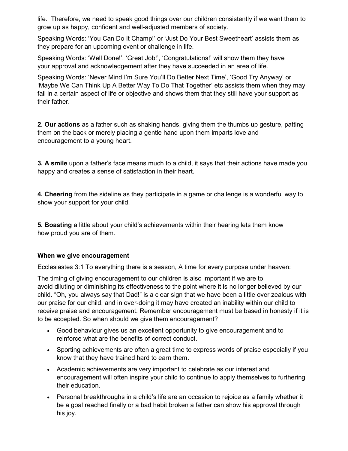life. Therefore, we need to speak good things over our children consistently if we want them to grow up as happy, confident and well-adjusted members of society.

Speaking Words: 'You Can Do It Champ!' or 'Just Do Your Best Sweetheart' assists them as they prepare for an upcoming event or challenge in life.

Speaking Words: 'Well Done!', 'Great Job!', 'Congratulations!' will show them they have your approval and acknowledgement after they have succeeded in an area of life.

Speaking Words: 'Never Mind I'm Sure You'll Do Better Next Time', 'Good Try Anyway' or 'Maybe We Can Think Up A Better Way To Do That Together' etc assists them when they may fail in a certain aspect of life or objective and shows them that they still have your support as their father.

**2. Our actions** as a father such as shaking hands, giving them the thumbs up gesture, patting them on the back or merely placing a gentle hand upon them imparts love and encouragement to a young heart.

3. A smile upon a father's face means much to a child, it says that their actions have made you happy and creates a sense of satisfaction in their heart.

4. Cheering from the sideline as they participate in a game or challenge is a wonderful way to show your support for your child.

5. Boasting a little about your child's achievements within their hearing lets them know how proud you are of them.

#### When we give encouragement

Ecclesiastes 3:1 To everything there is a season, A time for every purpose under heaven:

The timing of giving encouragement to our children is also important if we are to avoid diluting or diminishing its effectiveness to the point where it is no longer believed by our child. "Oh, you always say that Dad!" is a clear sign that we have been a little over zealous with our praise for our child, and in over-doing it may have created an inability within our child to receive praise and encouragement. Remember encouragement must be based in honesty if it is to be accepted. So when should we give them encouragement?

- Good behaviour gives us an excellent opportunity to give encouragement and to reinforce what are the benefits of correct conduct.
- Sporting achievements are often a great time to express words of praise especially if you know that they have trained hard to earn them.
- Academic achievements are very important to celebrate as our interest and encouragement will often inspire your child to continue to apply themselves to furthering their education.
- Personal breakthroughs in a child's life are an occasion to rejoice as a family whether it be a goal reached finally or a bad habit broken a father can show his approval through his joy.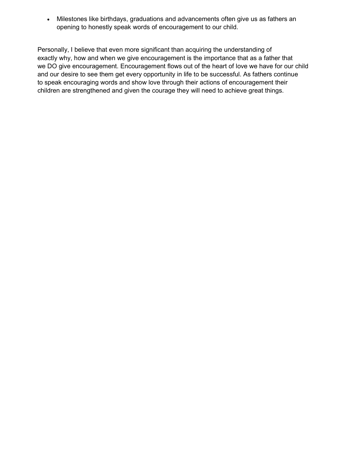Milestones like birthdays, graduations and advancements often give us as fathers an opening to honestly speak words of encouragement to our child.

Personally, I believe that even more significant than acquiring the understanding of exactly why, how and when we give encouragement is the importance that as a father that we DO give encouragement. Encouragement flows out of the heart of love we have for our child and our desire to see them get every opportunity in life to be successful. As fathers continue to speak encouraging words and show love through their actions of encouragement their children are strengthened and given the courage they will need to achieve great things.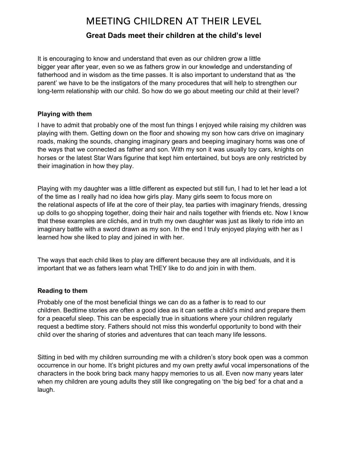## **MEETING CHILDREN AT THEIR LEVEL**

### Great Dads meet their children at the child's level

It is encouraging to know and understand that even as our children grow a little bigger year after year, even so we as fathers grow in our knowledge and understanding of fatherhood and in wisdom as the time passes. It is also important to understand that as 'the parent' we have to be the instigators of the many procedures that will help to strengthen our long-term relationship with our child. So how do we go about meeting our child at their level?

#### Playing with them

I have to admit that probably one of the most fun things I enjoyed while raising my children was playing with them. Getting down on the floor and showing my son how cars drive on imaginary roads, making the sounds, changing imaginary gears and beeping imaginary horns was one of the ways that we connected as father and son. With my son it was usually toy cars, knights on horses or the latest Star Wars figurine that kept him entertained, but boys are only restricted by their imagination in how they play.

Playing with my daughter was a little different as expected but still fun, I had to let her lead a lot of the time as I really had no idea how girls play. Many girls seem to focus more on the relational aspects of life at the core of their play, tea parties with imaginary friends, dressing up dolls to go shopping together, doing their hair and nails together with friends etc. Now I know that these examples are clichés, and in truth my own daughter was just as likely to ride into an imaginary battle with a sword drawn as my son. In the end I truly enjoyed playing with her as I learned how she liked to play and joined in with her.

The ways that each child likes to play are different because they are all individuals, and it is important that we as fathers learn what THEY like to do and join in with them.

#### Reading to them

Probably one of the most beneficial things we can do as a father is to read to our children. Bedtime stories are often a good idea as it can settle a child's mind and prepare them for a peaceful sleep. This can be especially true in situations where your children regularly request a bedtime story. Fathers should not miss this wonderful opportunity to bond with their child over the sharing of stories and adventures that can teach many life lessons.

Sitting in bed with my children surrounding me with a children's story book open was a common occurrence in our home. It's bright pictures and my own pretty awful vocal impersonations of the characters in the book bring back many happy memories to us all. Even now many years later when my children are young adults they still like congregating on 'the big bed' for a chat and a laugh.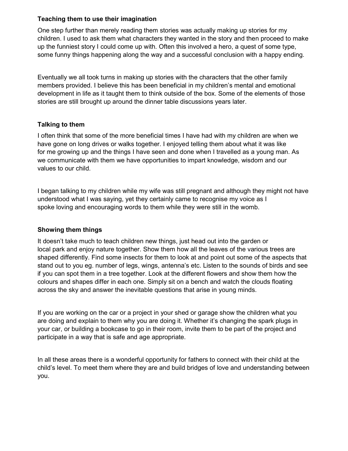#### Teaching them to use their imagination

One step further than merely reading them stories was actually making up stories for my children. I used to ask them what characters they wanted in the story and then proceed to make up the funniest story I could come up with. Often this involved a hero, a quest of some type, some funny things happening along the way and a successful conclusion with a happy ending.

Eventually we all took turns in making up stories with the characters that the other family members provided. I believe this has been beneficial in my children's mental and emotional development in life as it taught them to think outside of the box. Some of the elements of those stories are still brought up around the dinner table discussions years later.

#### Talking to them

I often think that some of the more beneficial times I have had with my children are when we have gone on long drives or walks together. I enjoyed telling them about what it was like for me growing up and the things I have seen and done when I travelled as a young man. As we communicate with them we have opportunities to impart knowledge, wisdom and our values to our child.

I began talking to my children while my wife was still pregnant and although they might not have understood what I was saying, yet they certainly came to recognise my voice as I spoke loving and encouraging words to them while they were still in the womb.

#### Showing them things

It doesn't take much to teach children new things, just head out into the garden or local park and enjoy nature together. Show them how all the leaves of the various trees are shaped differently. Find some insects for them to look at and point out some of the aspects that stand out to you eg. number of legs, wings, antenna's etc. Listen to the sounds of birds and see if you can spot them in a tree together. Look at the different flowers and show them how the colours and shapes differ in each one. Simply sit on a bench and watch the clouds floating across the sky and answer the inevitable questions that arise in young minds.

If you are working on the car or a project in your shed or garage show the children what you are doing and explain to them why you are doing it. Whether it's changing the spark plugs in your car, or building a bookcase to go in their room, invite them to be part of the project and participate in a way that is safe and age appropriate.

In all these areas there is a wonderful opportunity for fathers to connect with their child at the child's level. To meet them where they are and build bridges of love and understanding between you.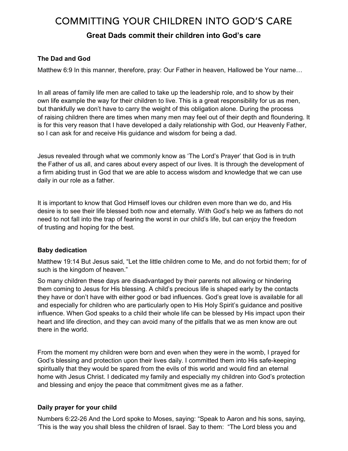## **COMMITTING YOUR CHILDREN INTO GOD'S CARE**

### Great Dads commit their children into God's care

#### The Dad and God

Matthew 6:9 In this manner, therefore, pray: Our Father in heaven, Hallowed be Your name…

In all areas of family life men are called to take up the leadership role, and to show by their own life example the way for their children to live. This is a great responsibility for us as men, but thankfully we don't have to carry the weight of this obligation alone. During the process of raising children there are times when many men may feel out of their depth and floundering. It is for this very reason that I have developed a daily relationship with God, our Heavenly Father, so I can ask for and receive His guidance and wisdom for being a dad.

Jesus revealed through what we commonly know as 'The Lord's Prayer' that God is in truth the Father of us all, and cares about every aspect of our lives. It is through the development of a firm abiding trust in God that we are able to access wisdom and knowledge that we can use daily in our role as a father.

It is important to know that God Himself loves our children even more than we do, and His desire is to see their life blessed both now and eternally. With God's help we as fathers do not need to not fall into the trap of fearing the worst in our child's life, but can enjoy the freedom of trusting and hoping for the best.

#### Baby dedication

Matthew 19:14 But Jesus said, "Let the little children come to Me, and do not forbid them; for of such is the kingdom of heaven."

So many children these days are disadvantaged by their parents not allowing or hindering them coming to Jesus for His blessing. A child's precious life is shaped early by the contacts they have or don't have with either good or bad influences. God's great love is available for all and especially for children who are particularly open to His Holy Spirit's guidance and positive influence. When God speaks to a child their whole life can be blessed by His impact upon their heart and life direction, and they can avoid many of the pitfalls that we as men know are out there in the world.

From the moment my children were born and even when they were in the womb, I prayed for God's blessing and protection upon their lives daily. I committed them into His safe-keeping spiritually that they would be spared from the evils of this world and would find an eternal home with Jesus Christ. I dedicated my family and especially my children into God's protection and blessing and enjoy the peace that commitment gives me as a father.

#### Daily prayer for your child

Numbers 6:22-26 And the Lord spoke to Moses, saying: "Speak to Aaron and his sons, saying, 'This is the way you shall bless the children of Israel. Say to them: "The Lord bless you and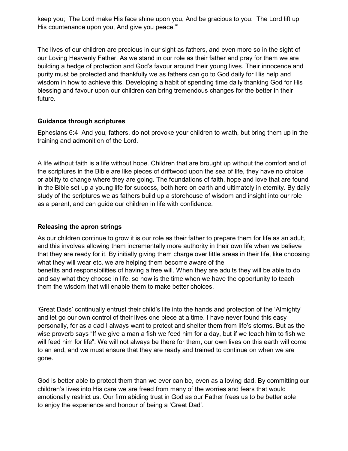keep you; The Lord make His face shine upon you, And be gracious to you; The Lord lift up His countenance upon you, And give you peace."'

The lives of our children are precious in our sight as fathers, and even more so in the sight of our Loving Heavenly Father. As we stand in our role as their father and pray for them we are building a hedge of protection and God's favour around their young lives. Their innocence and purity must be protected and thankfully we as fathers can go to God daily for His help and wisdom in how to achieve this. Developing a habit of spending time daily thanking God for His blessing and favour upon our children can bring tremendous changes for the better in their future.

#### Guidance through scriptures

Ephesians 6:4 And you, fathers, do not provoke your children to wrath, but bring them up in the training and admonition of the Lord.

A life without faith is a life without hope. Children that are brought up without the comfort and of the scriptures in the Bible are like pieces of driftwood upon the sea of life, they have no choice or ability to change where they are going. The foundations of faith, hope and love that are found in the Bible set up a young life for success, both here on earth and ultimately in eternity. By daily study of the scriptures we as fathers build up a storehouse of wisdom and insight into our role as a parent, and can guide our children in life with confidence.

#### Releasing the apron strings

As our children continue to grow it is our role as their father to prepare them for life as an adult, and this involves allowing them incrementally more authority in their own life when we believe that they are ready for it. By initially giving them charge over little areas in their life, like choosing what they will wear etc. we are helping them become aware of the benefits and responsibilities of having a free will. When they are adults they will be able to do and say what they choose in life, so now is the time when we have the opportunity to teach them the wisdom that will enable them to make better choices.

'Great Dads' continually entrust their child's life into the hands and protection of the 'Almighty' and let go our own control of their lives one piece at a time. I have never found this easy personally, for as a dad I always want to protect and shelter them from life's storms. But as the wise proverb says "If we give a man a fish we feed him for a day, but if we teach him to fish we will feed him for life". We will not always be there for them, our own lives on this earth will come to an end, and we must ensure that they are ready and trained to continue on when we are gone.

God is better able to protect them than we ever can be, even as a loving dad. By committing our children's lives into His care we are freed from many of the worries and fears that would emotionally restrict us. Our firm abiding trust in God as our Father frees us to be better able to enjoy the experience and honour of being a 'Great Dad'.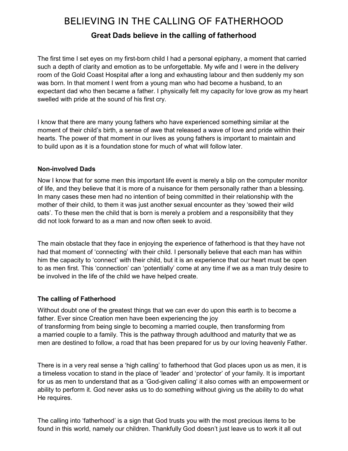## BELIEVING IN THE CALLING OF FATHERHOOD

## Great Dads believe in the calling of fatherhood

The first time I set eyes on my first-born child I had a personal epiphany, a moment that carried such a depth of clarity and emotion as to be unforgettable. My wife and I were in the delivery room of the Gold Coast Hospital after a long and exhausting labour and then suddenly my son was born. In that moment I went from a young man who had become a husband, to an expectant dad who then became a father. I physically felt my capacity for love grow as my heart swelled with pride at the sound of his first cry.

I know that there are many young fathers who have experienced something similar at the moment of their child's birth, a sense of awe that released a wave of love and pride within their hearts. The power of that moment in our lives as young fathers is important to maintain and to build upon as it is a foundation stone for much of what will follow later.

#### Non-involved Dads

Now I know that for some men this important life event is merely a blip on the computer monitor of life, and they believe that it is more of a nuisance for them personally rather than a blessing. In many cases these men had no intention of being committed in their relationship with the mother of their child, to them it was just another sexual encounter as they 'sowed their wild oats'. To these men the child that is born is merely a problem and a responsibility that they did not look forward to as a man and now often seek to avoid.

The main obstacle that they face in enjoying the experience of fatherhood is that they have not had that moment of 'connecting' with their child. I personally believe that each man has within him the capacity to 'connect' with their child, but it is an experience that our heart must be open to as men first. This 'connection' can 'potentially' come at any time if we as a man truly desire to be involved in the life of the child we have helped create.

#### The calling of Fatherhood

Without doubt one of the greatest things that we can ever do upon this earth is to become a father. Ever since Creation men have been experiencing the joy of transforming from being single to becoming a married couple, then transforming from a married couple to a family. This is the pathway through adulthood and maturity that we as men are destined to follow, a road that has been prepared for us by our loving heavenly Father.

There is in a very real sense a 'high calling' to fatherhood that God places upon us as men, it is a timeless vocation to stand in the place of 'leader' and 'protector' of your family. It is important for us as men to understand that as a 'God-given calling' it also comes with an empowerment or ability to perform it. God never asks us to do something without giving us the ability to do what He requires.

The calling into 'fatherhood' is a sign that God trusts you with the most precious items to be found in this world, namely our children. Thankfully God doesn't just leave us to work it all out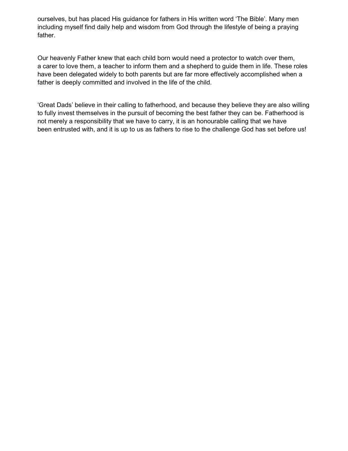ourselves, but has placed His guidance for fathers in His written word 'The Bible'. Many men including myself find daily help and wisdom from God through the lifestyle of being a praying father.

Our heavenly Father knew that each child born would need a protector to watch over them, a carer to love them, a teacher to inform them and a shepherd to guide them in life. These roles have been delegated widely to both parents but are far more effectively accomplished when a father is deeply committed and involved in the life of the child.

'Great Dads' believe in their calling to fatherhood, and because they believe they are also willing to fully invest themselves in the pursuit of becoming the best father they can be. Fatherhood is not merely a responsibility that we have to carry, it is an honourable calling that we have been entrusted with, and it is up to us as fathers to rise to the challenge God has set before us!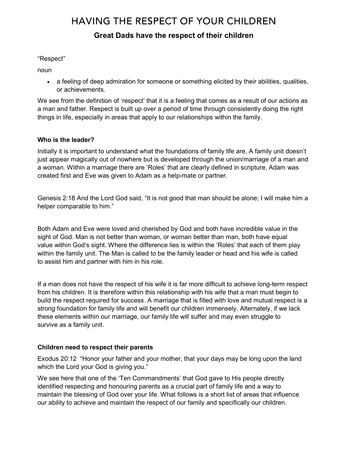## **HAVING THE RESPECT OF YOUR CHILDREN**

### Great Dads have the respect of their children

#### "Respect"

noun

• a feeling of deep admiration for someone or something elicited by their abilities, qualities, or achievements.

We see from the definition of 'respect' that it is a feeling that comes as a result of our actions as a man and father. Respect is built up over a period of time through consistently doing the right things in life, especially in areas that apply to our relationships within the family.

#### Who is the leader?

Initially it is important to understand what the foundations of family life are. A family unit doesn't just appear magically out of nowhere but is developed through the union/marriage of a man and a woman. Within a marriage there are 'Roles' that are clearly defined in scripture, Adam was created first and Eve was given to Adam as a help-mate or partner.

Genesis 2:18 And the Lord God said, "It is not good that man should be alone; I will make him a helper comparable to him."

Both Adam and Eve were loved and cherished by God and both have incredible value in the sight of God. Man is not better than woman, or woman better than man, both have equal value within God's sight. Where the difference lies is within the 'Roles' that each of them play within the family unit. The Man is called to be the family leader or head and his wife is called to assist him and partner with him in his role.

If a man does not have the respect of his wife it is far more difficult to achieve long-term respect from his children. It is therefore within this relationship with his wife that a man must begin to build the respect required for success. A marriage that is filled with love and mutual respect is a strong foundation for family life and will benefit our children immensely. Alternately, if we lack these elements within our marriage, our family life will suffer and may even struggle to survive as a family unit.

#### Children need to respect their parents

Exodus 20:12 "Honor your father and your mother, that your days may be long upon the land which the Lord your God is giving you."

We see here that one of the 'Ten Commandments' that God gave to His people directly identified respecting and honouring parents as a crucial part of family life and a way to maintain the blessing of God over your life. What follows is a short list of areas that influence our ability to achieve and maintain the respect of our family and specifically our children.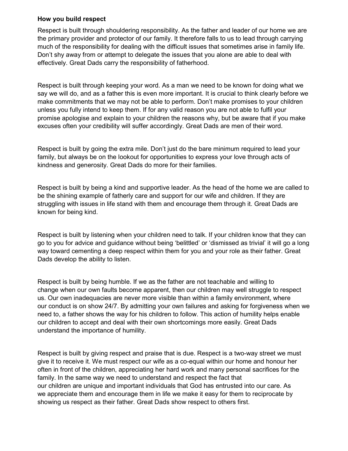#### How you build respect

Respect is built through shouldering responsibility. As the father and leader of our home we are the primary provider and protector of our family. It therefore falls to us to lead through carrying much of the responsibility for dealing with the difficult issues that sometimes arise in family life. Don't shy away from or attempt to delegate the issues that you alone are able to deal with effectively. Great Dads carry the responsibility of fatherhood.

Respect is built through keeping your word. As a man we need to be known for doing what we say we will do, and as a father this is even more important. It is crucial to think clearly before we make commitments that we may not be able to perform. Don't make promises to your children unless you fully intend to keep them. If for any valid reason you are not able to fulfil your promise apologise and explain to your children the reasons why, but be aware that if you make excuses often your credibility will suffer accordingly. Great Dads are men of their word.

Respect is built by going the extra mile. Don't just do the bare minimum required to lead your family, but always be on the lookout for opportunities to express your love through acts of kindness and generosity. Great Dads do more for their families.

Respect is built by being a kind and supportive leader. As the head of the home we are called to be the shining example of fatherly care and support for our wife and children. If they are struggling with issues in life stand with them and encourage them through it. Great Dads are known for being kind.

Respect is built by listening when your children need to talk. If your children know that they can go to you for advice and guidance without being 'belittled' or 'dismissed as trivial' it will go a long way toward cementing a deep respect within them for you and your role as their father. Great Dads develop the ability to listen.

Respect is built by being humble. If we as the father are not teachable and willing to change when our own faults become apparent, then our children may well struggle to respect us. Our own inadequacies are never more visible than within a family environment, where our conduct is on show 24/7. By admitting your own failures and asking for forgiveness when we need to, a father shows the way for his children to follow. This action of humility helps enable our children to accept and deal with their own shortcomings more easily. Great Dads understand the importance of humility.

Respect is built by giving respect and praise that is due. Respect is a two-way street we must give it to receive it. We must respect our wife as a co-equal within our home and honour her often in front of the children, appreciating her hard work and many personal sacrifices for the family. In the same way we need to understand and respect the fact that our children are unique and important individuals that God has entrusted into our care. As we appreciate them and encourage them in life we make it easy for them to reciprocate by showing us respect as their father. Great Dads show respect to others first.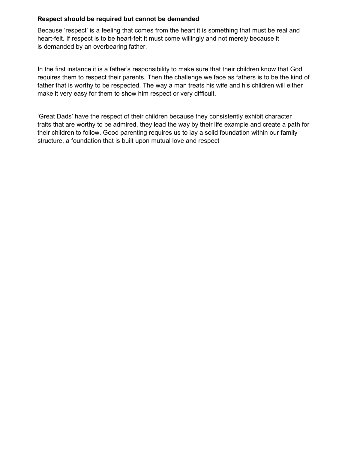#### Respect should be required but cannot be demanded

Because 'respect' is a feeling that comes from the heart it is something that must be real and heart-felt. If respect is to be heart-felt it must come willingly and not merely because it is demanded by an overbearing father.

In the first instance it is a father's responsibility to make sure that their children know that God requires them to respect their parents. Then the challenge we face as fathers is to be the kind of father that is worthy to be respected. The way a man treats his wife and his children will either make it very easy for them to show him respect or very difficult.

'Great Dads' have the respect of their children because they consistently exhibit character traits that are worthy to be admired, they lead the way by their life example and create a path for their children to follow. Good parenting requires us to lay a solid foundation within our family structure, a foundation that is built upon mutual love and respect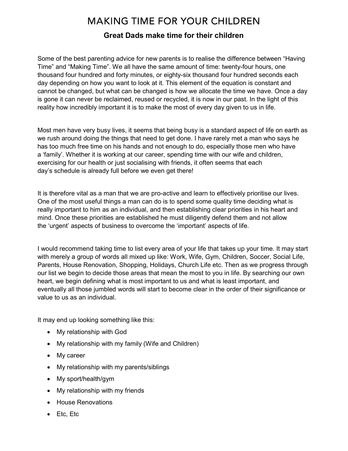## **MAKING TIME FOR YOUR CHILDREN**

## Great Dads make time for their children

Some of the best parenting advice for new parents is to realise the difference between "Having Time" and "Making Time". We all have the same amount of time: twenty-four hours, one thousand four hundred and forty minutes, or eighty-six thousand four hundred seconds each day depending on how you want to look at it. This element of the equation is constant and cannot be changed, but what can be changed is how we allocate the time we have. Once a day is gone it can never be reclaimed, reused or recycled, it is now in our past. In the light of this reality how incredibly important it is to make the most of every day given to us in life.

Most men have very busy lives, it seems that being busy is a standard aspect of life on earth as we rush around doing the things that need to get done. I have rarely met a man who says he has too much free time on his hands and not enough to do, especially those men who have a 'family'. Whether it is working at our career, spending time with our wife and children, exercising for our health or just socialising with friends, it often seems that each day's schedule is already full before we even get there!

It is therefore vital as a man that we are pro-active and learn to effectively prioritise our lives. One of the most useful things a man can do is to spend some quality time deciding what is really important to him as an individual, and then establishing clear priorities in his heart and mind. Once these priorities are established he must diligently defend them and not allow the 'urgent' aspects of business to overcome the 'important' aspects of life.

I would recommend taking time to list every area of your life that takes up your time. It may start with merely a group of words all mixed up like: Work, Wife, Gym, Children, Soccer, Social Life, Parents, House Renovation, Shopping, Holidays, Church Life etc. Then as we progress through our list we begin to decide those areas that mean the most to you in life. By searching our own heart, we begin defining what is most important to us and what is least important, and eventually all those jumbled words will start to become clear in the order of their significance or value to us as an individual.

It may end up looking something like this:

- My relationship with God
- My relationship with my family (Wife and Children)
- My career
- My relationship with my parents/siblings
- My sport/health/gym
- My relationship with my friends
- House Renovations
- Etc, Etc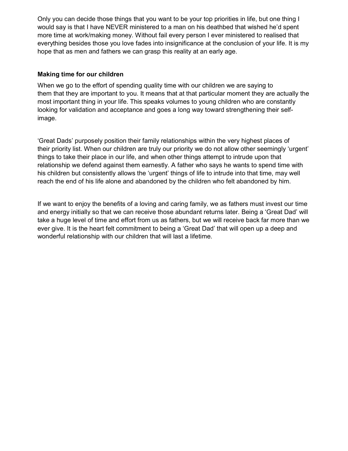Only you can decide those things that you want to be your top priorities in life, but one thing I would say is that I have NEVER ministered to a man on his deathbed that wished he'd spent more time at work/making money. Without fail every person I ever ministered to realised that everything besides those you love fades into insignificance at the conclusion of your life. It is my hope that as men and fathers we can grasp this reality at an early age.

#### Making time for our children

When we go to the effort of spending quality time with our children we are saying to them that they are important to you. It means that at that particular moment they are actually the most important thing in your life. This speaks volumes to young children who are constantly looking for validation and acceptance and goes a long way toward strengthening their selfimage.

'Great Dads' purposely position their family relationships within the very highest places of their priority list. When our children are truly our priority we do not allow other seemingly 'urgent' things to take their place in our life, and when other things attempt to intrude upon that relationship we defend against them earnestly. A father who says he wants to spend time with his children but consistently allows the 'urgent' things of life to intrude into that time, may well reach the end of his life alone and abandoned by the children who felt abandoned by him.

If we want to enjoy the benefits of a loving and caring family, we as fathers must invest our time and energy initially so that we can receive those abundant returns later. Being a 'Great Dad' will take a huge level of time and effort from us as fathers, but we will receive back far more than we ever give. It is the heart felt commitment to being a 'Great Dad' that will open up a deep and wonderful relationship with our children that will last a lifetime.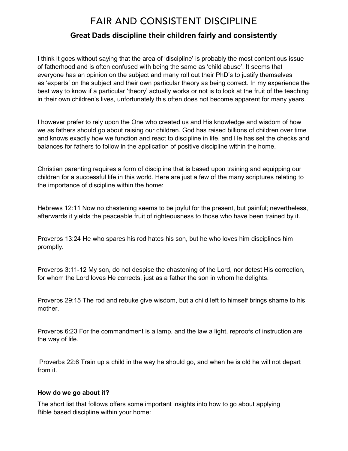# **FAIR AND CONSISTENT DISCIPLINE**

## Great Dads discipline their children fairly and consistently

I think it goes without saying that the area of 'discipline' is probably the most contentious issue of fatherhood and is often confused with being the same as 'child abuse'. It seems that everyone has an opinion on the subject and many roll out their PhD's to justify themselves as 'experts' on the subject and their own particular theory as being correct. In my experience the best way to know if a particular 'theory' actually works or not is to look at the fruit of the teaching in their own children's lives, unfortunately this often does not become apparent for many years.

I however prefer to rely upon the One who created us and His knowledge and wisdom of how we as fathers should go about raising our children. God has raised billions of children over time and knows exactly how we function and react to discipline in life, and He has set the checks and balances for fathers to follow in the application of positive discipline within the home.

Christian parenting requires a form of discipline that is based upon training and equipping our children for a successful life in this world. Here are just a few of the many scriptures relating to the importance of discipline within the home:

Hebrews 12:11 Now no chastening seems to be joyful for the present, but painful; nevertheless, afterwards it yields the peaceable fruit of righteousness to those who have been trained by it.

Proverbs 13:24 He who spares his rod hates his son, but he who loves him disciplines him promptly.

Proverbs 3:11-12 My son, do not despise the chastening of the Lord, nor detest His correction, for whom the Lord loves He corrects, just as a father the son in whom he delights.

Proverbs 29:15 The rod and rebuke give wisdom, but a child left to himself brings shame to his mother.

Proverbs 6:23 For the commandment is a lamp, and the law a light, reproofs of instruction are the way of life.

 Proverbs 22:6 Train up a child in the way he should go, and when he is old he will not depart from it.

#### How do we go about it?

The short list that follows offers some important insights into how to go about applying Bible based discipline within your home: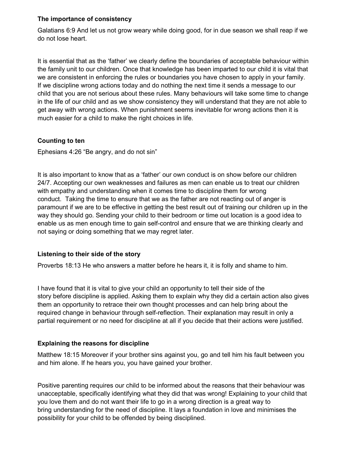#### The importance of consistency

Galatians 6:9 And let us not grow weary while doing good, for in due season we shall reap if we do not lose heart.

It is essential that as the 'father' we clearly define the boundaries of acceptable behaviour within the family unit to our children. Once that knowledge has been imparted to our child it is vital that we are consistent in enforcing the rules or boundaries you have chosen to apply in your family. If we discipline wrong actions today and do nothing the next time it sends a message to our child that you are not serious about these rules. Many behaviours will take some time to change in the life of our child and as we show consistency they will understand that they are not able to get away with wrong actions. When punishment seems inevitable for wrong actions then it is much easier for a child to make the right choices in life.

#### Counting to ten

Ephesians 4:26 "Be angry, and do not sin"

It is also important to know that as a 'father' our own conduct is on show before our children 24/7. Accepting our own weaknesses and failures as men can enable us to treat our children with empathy and understanding when it comes time to discipline them for wrong conduct. Taking the time to ensure that we as the father are not reacting out of anger is paramount if we are to be effective in getting the best result out of training our children up in the way they should go. Sending your child to their bedroom or time out location is a good idea to enable us as men enough time to gain self-control and ensure that we are thinking clearly and not saying or doing something that we may regret later.

#### Listening to their side of the story

Proverbs 18:13 He who answers a matter before he hears it, it is folly and shame to him.

I have found that it is vital to give your child an opportunity to tell their side of the story before discipline is applied. Asking them to explain why they did a certain action also gives them an opportunity to retrace their own thought processes and can help bring about the required change in behaviour through self-reflection. Their explanation may result in only a partial requirement or no need for discipline at all if you decide that their actions were justified.

#### Explaining the reasons for discipline

Matthew 18:15 Moreover if your brother sins against you, go and tell him his fault between you and him alone. If he hears you, you have gained your brother.

Positive parenting requires our child to be informed about the reasons that their behaviour was unacceptable, specifically identifying what they did that was wrong! Explaining to your child that you love them and do not want their life to go in a wrong direction is a great way to bring understanding for the need of discipline. It lays a foundation in love and minimises the possibility for your child to be offended by being disciplined.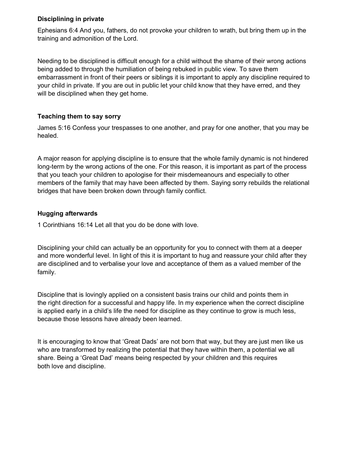#### Disciplining in private

Ephesians 6:4 And you, fathers, do not provoke your children to wrath, but bring them up in the training and admonition of the Lord.

Needing to be disciplined is difficult enough for a child without the shame of their wrong actions being added to through the humiliation of being rebuked in public view. To save them embarrassment in front of their peers or siblings it is important to apply any discipline required to your child in private. If you are out in public let your child know that they have erred, and they will be disciplined when they get home.

#### Teaching them to say sorry

James 5:16 Confess your trespasses to one another, and pray for one another, that you may be healed.

A major reason for applying discipline is to ensure that the whole family dynamic is not hindered long-term by the wrong actions of the one. For this reason, it is important as part of the process that you teach your children to apologise for their misdemeanours and especially to other members of the family that may have been affected by them. Saying sorry rebuilds the relational bridges that have been broken down through family conflict.

#### Hugging afterwards

1 Corinthians 16:14 Let all that you do be done with love.

Disciplining your child can actually be an opportunity for you to connect with them at a deeper and more wonderful level. In light of this it is important to hug and reassure your child after they are disciplined and to verbalise your love and acceptance of them as a valued member of the family.

Discipline that is lovingly applied on a consistent basis trains our child and points them in the right direction for a successful and happy life. In my experience when the correct discipline is applied early in a child's life the need for discipline as they continue to grow is much less, because those lessons have already been learned.

It is encouraging to know that 'Great Dads' are not born that way, but they are just men like us who are transformed by realizing the potential that they have within them, a potential we all share. Being a 'Great Dad' means being respected by your children and this requires both love and discipline.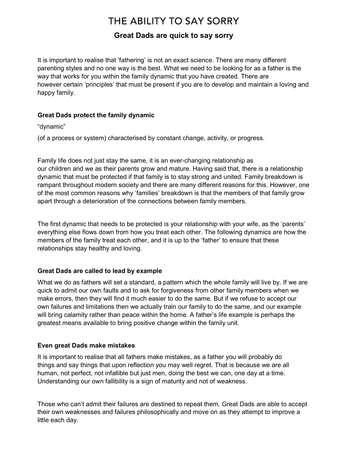# THE ABILITY TO SAY SORRY

## Great Dads are quick to say sorry

It is important to realise that 'fathering' is not an exact science. There are many different parenting styles and no one way is the best. What we need to be looking for as a father is the way that works for you within the family dynamic that you have created. There are however certain 'principles' that must be present if you are to develop and maintain a loving and happy family.

#### Great Dads protect the family dynamic

"dynamic"

(of a process or system) characterised by constant change, activity, or progress.

Family life does not just stay the same, it is an ever-changing relationship as our children and we as their parents grow and mature. Having said that, there is a relationship dynamic that must be protected if that family is to stay strong and united. Family breakdown is rampant throughout modern society and there are many different reasons for this. However, one of the most common reasons why 'families' breakdown is that the members of that family grow apart through a deterioration of the connections between family members.

The first dynamic that needs to be protected is your relationship with your wife, as the 'parents' everything else flows down from how you treat each other. The following dynamics are how the members of the family treat each other, and it is up to the 'father' to ensure that these relationships stay healthy and loving.

#### Great Dads are called to lead by example

What we do as fathers will set a standard, a pattern which the whole family will live by. If we are quick to admit our own faults and to ask for forgiveness from other family members when we make errors, then they will find it much easier to do the same. But if we refuse to accept our own failures and limitations then we actually train our family to do the same, and our example will bring calamity rather than peace within the home. A father's life example is perhaps the greatest means available to bring positive change within the family unit.

#### Even great Dads make mistakes

It is important to realise that all fathers make mistakes, as a father you will probably do things and say things that upon reflection you may well regret. That is because we are all human, not perfect, not infallible but just men, doing the best we can, one day at a time. Understanding our own fallibility is a sign of maturity and not of weakness.

Those who can't admit their failures are destined to repeat them. Great Dads are able to accept their own weaknesses and failures philosophically and move on as they attempt to improve a little each day.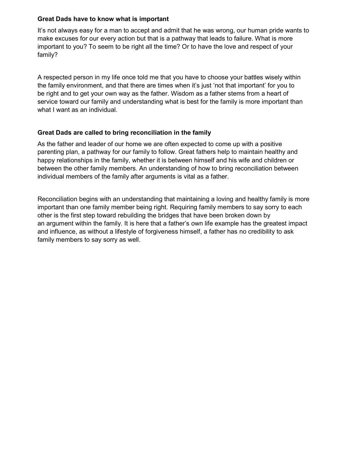#### Great Dads have to know what is important

It's not always easy for a man to accept and admit that he was wrong, our human pride wants to make excuses for our every action but that is a pathway that leads to failure. What is more important to you? To seem to be right all the time? Or to have the love and respect of your family?

A respected person in my life once told me that you have to choose your battles wisely within the family environment, and that there are times when it's just 'not that important' for you to be right and to get your own way as the father. Wisdom as a father stems from a heart of service toward our family and understanding what is best for the family is more important than what I want as an individual.

#### Great Dads are called to bring reconciliation in the family

As the father and leader of our home we are often expected to come up with a positive parenting plan, a pathway for our family to follow. Great fathers help to maintain healthy and happy relationships in the family, whether it is between himself and his wife and children or between the other family members. An understanding of how to bring reconciliation between individual members of the family after arguments is vital as a father.

Reconciliation begins with an understanding that maintaining a loving and healthy family is more important than one family member being right. Requiring family members to say sorry to each other is the first step toward rebuilding the bridges that have been broken down by an argument within the family. It is here that a father's own life example has the greatest impact and influence, as without a lifestyle of forgiveness himself, a father has no credibility to ask family members to say sorry as well.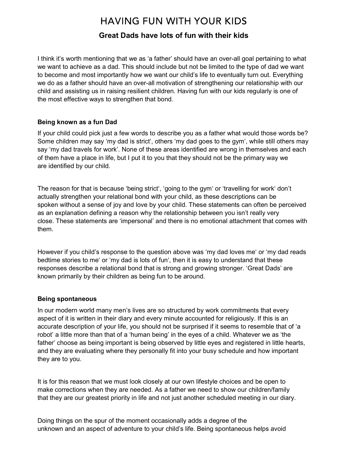## **HAVING FUN WITH YOUR KIDS**

### Great Dads have lots of fun with their kids

I think it's worth mentioning that we as 'a father' should have an over-all goal pertaining to what we want to achieve as a dad. This should include but not be limited to the type of dad we want to become and most importantly how we want our child's life to eventually turn out. Everything we do as a father should have an over-all motivation of strengthening our relationship with our child and assisting us in raising resilient children. Having fun with our kids regularly is one of the most effective ways to strengthen that bond.

#### Being known as a fun Dad

If your child could pick just a few words to describe you as a father what would those words be? Some children may say 'my dad is strict', others 'my dad goes to the gym', while still others may say 'my dad travels for work'. None of these areas identified are wrong in themselves and each of them have a place in life, but I put it to you that they should not be the primary way we are identified by our child.

The reason for that is because 'being strict', 'going to the gym' or 'travelling for work' don't actually strengthen your relational bond with your child, as these descriptions can be spoken without a sense of joy and love by your child. These statements can often be perceived as an explanation defining a reason why the relationship between you isn't really very close. These statements are 'impersonal' and there is no emotional attachment that comes with them.

However if you child's response to the question above was 'my dad loves me' or 'my dad reads bedtime stories to me' or 'my dad is lots of fun', then it is easy to understand that these responses describe a relational bond that is strong and growing stronger. 'Great Dads' are known primarily by their children as being fun to be around.

#### Being spontaneous

In our modern world many men's lives are so structured by work commitments that every aspect of it is written in their diary and every minute accounted for religiously. If this is an accurate description of your life, you should not be surprised if it seems to resemble that of 'a robot' a little more than that of a 'human being' in the eyes of a child. Whatever we as 'the father' choose as being important is being observed by little eyes and registered in little hearts, and they are evaluating where they personally fit into your busy schedule and how important they are to you.

It is for this reason that we must look closely at our own lifestyle choices and be open to make corrections when they are needed. As a father we need to show our children/family that they are our greatest priority in life and not just another scheduled meeting in our diary.

Doing things on the spur of the moment occasionally adds a degree of the unknown and an aspect of adventure to your child's life. Being spontaneous helps avoid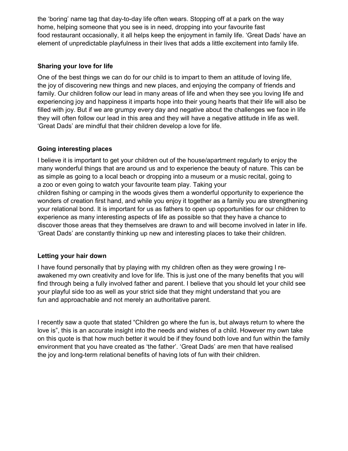the 'boring' name tag that day-to-day life often wears. Stopping off at a park on the way home, helping someone that you see is in need, dropping into your favourite fast food restaurant occasionally, it all helps keep the enjoyment in family life. 'Great Dads' have an element of unpredictable playfulness in their lives that adds a little excitement into family life.

#### Sharing your love for life

One of the best things we can do for our child is to impart to them an attitude of loving life, the joy of discovering new things and new places, and enjoying the company of friends and family. Our children follow our lead in many areas of life and when they see you loving life and experiencing joy and happiness it imparts hope into their young hearts that their life will also be filled with joy. But if we are grumpy every day and negative about the challenges we face in life they will often follow our lead in this area and they will have a negative attitude in life as well. 'Great Dads' are mindful that their children develop a love for life.

#### Going interesting places

I believe it is important to get your children out of the house/apartment regularly to enjoy the many wonderful things that are around us and to experience the beauty of nature. This can be as simple as going to a local beach or dropping into a museum or a music recital, going to a zoo or even going to watch your favourite team play. Taking your children fishing or camping in the woods gives them a wonderful opportunity to experience the wonders of creation first hand, and while you enjoy it together as a family you are strengthening your relational bond. It is important for us as fathers to open up opportunities for our children to experience as many interesting aspects of life as possible so that they have a chance to discover those areas that they themselves are drawn to and will become involved in later in life. 'Great Dads' are constantly thinking up new and interesting places to take their children.

#### Letting your hair down

I have found personally that by playing with my children often as they were growing I reawakened my own creativity and love for life. This is just one of the many benefits that you will find through being a fully involved father and parent. I believe that you should let your child see your playful side too as well as your strict side that they might understand that you are fun and approachable and not merely an authoritative parent.

I recently saw a quote that stated "Children go where the fun is, but always return to where the love is", this is an accurate insight into the needs and wishes of a child. However my own take on this quote is that how much better it would be if they found both love and fun within the family environment that you have created as 'the father'. 'Great Dads' are men that have realised the joy and long-term relational benefits of having lots of fun with their children.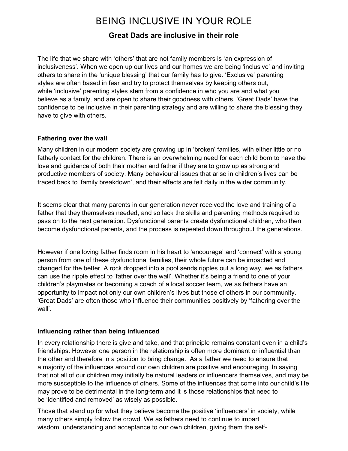# BEING INCLUSIVE IN YOUR ROLE

## Great Dads are inclusive in their role

The life that we share with 'others' that are not family members is 'an expression of inclusiveness'. When we open up our lives and our homes we are being 'inclusive' and inviting others to share in the 'unique blessing' that our family has to give. 'Exclusive' parenting styles are often based in fear and try to protect themselves by keeping others out, while 'inclusive' parenting styles stem from a confidence in who you are and what you believe as a family, and are open to share their goodness with others. 'Great Dads' have the confidence to be inclusive in their parenting strategy and are willing to share the blessing they have to give with others.

#### Fathering over the wall

Many children in our modern society are growing up in 'broken' families, with either little or no fatherly contact for the children. There is an overwhelming need for each child born to have the love and guidance of both their mother and father if they are to grow up as strong and productive members of society. Many behavioural issues that arise in children's lives can be traced back to 'family breakdown', and their effects are felt daily in the wider community.

It seems clear that many parents in our generation never received the love and training of a father that they themselves needed, and so lack the skills and parenting methods required to pass on to the next generation. Dysfunctional parents create dysfunctional children, who then become dysfunctional parents, and the process is repeated down throughout the generations.

However if one loving father finds room in his heart to 'encourage' and 'connect' with a young person from one of these dysfunctional families, their whole future can be impacted and changed for the better. A rock dropped into a pool sends ripples out a long way, we as fathers can use the ripple effect to 'father over the wall'. Whether it's being a friend to one of your children's playmates or becoming a coach of a local soccer team, we as fathers have an opportunity to impact not only our own children's lives but those of others in our community. 'Great Dads' are often those who influence their communities positively by 'fathering over the wall'.

#### Influencing rather than being influenced

In every relationship there is give and take, and that principle remains constant even in a child's friendships. However one person in the relationship is often more dominant or influential than the other and therefore in a position to bring change. As a father we need to ensure that a majority of the influences around our own children are positive and encouraging. In saying that not all of our children may initially be natural leaders or influencers themselves, and may be more susceptible to the influence of others. Some of the influences that come into our child's life may prove to be detrimental in the long-term and it is those relationships that need to be 'identified and removed' as wisely as possible.

Those that stand up for what they believe become the positive 'influencers' in society, while many others simply follow the crowd. We as fathers need to continue to impart wisdom, understanding and acceptance to our own children, giving them the self